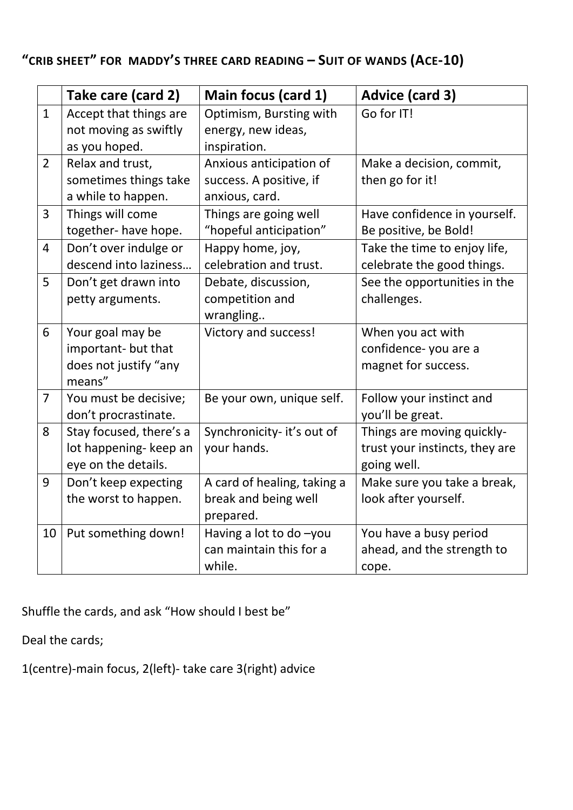## **"CRIB SHEET" FOR MADDY'S THREE CARD READING – SUIT OF WANDS (ACE-10)**

|                | Take care (card 2)                                                         | Main focus (card 1)                                                  | <b>Advice (card 3)</b>                                                      |
|----------------|----------------------------------------------------------------------------|----------------------------------------------------------------------|-----------------------------------------------------------------------------|
| $\mathbf{1}$   | Accept that things are<br>not moving as swiftly<br>as you hoped.           | Optimism, Bursting with<br>energy, new ideas,<br>inspiration.        | Go for IT!                                                                  |
| $\overline{2}$ | Relax and trust,<br>sometimes things take<br>a while to happen.            | Anxious anticipation of<br>success. A positive, if<br>anxious, card. | Make a decision, commit,<br>then go for it!                                 |
| 3              | Things will come<br>together- have hope.                                   | Things are going well<br>"hopeful anticipation"                      | Have confidence in yourself.<br>Be positive, be Bold!                       |
| 4              | Don't over indulge or<br>descend into laziness                             | Happy home, joy,<br>celebration and trust.                           | Take the time to enjoy life,<br>celebrate the good things.                  |
| 5              | Don't get drawn into<br>petty arguments.                                   | Debate, discussion,<br>competition and<br>wrangling                  | See the opportunities in the<br>challenges.                                 |
| 6              | Your goal may be<br>important- but that<br>does not justify "any<br>means" | Victory and success!                                                 | When you act with<br>confidence-you are a<br>magnet for success.            |
| $\overline{7}$ | You must be decisive;<br>don't procrastinate.                              | Be your own, unique self.                                            | Follow your instinct and<br>you'll be great.                                |
| 8              | Stay focused, there's a<br>lot happening- keep an<br>eye on the details.   | Synchronicity- it's out of<br>your hands.                            | Things are moving quickly-<br>trust your instincts, they are<br>going well. |
| 9              | Don't keep expecting<br>the worst to happen.                               | A card of healing, taking a<br>break and being well<br>prepared.     | Make sure you take a break,<br>look after yourself.                         |
| 10             | Put something down!                                                        | Having a lot to do -you<br>can maintain this for a<br>while.         | You have a busy period<br>ahead, and the strength to<br>cope.               |

Shuffle the cards, and ask "How should I best be"

Deal the cards;

1(centre)-main focus, 2(left)- take care 3(right) advice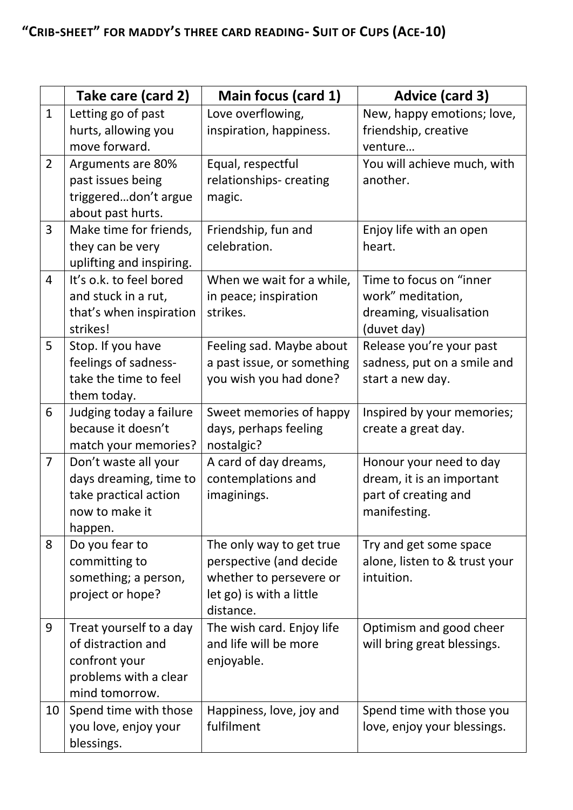|                | Take care (card 2)                                                                                        | Main focus (card 1)                                                                                                     | <b>Advice (card 3)</b>                                                                       |
|----------------|-----------------------------------------------------------------------------------------------------------|-------------------------------------------------------------------------------------------------------------------------|----------------------------------------------------------------------------------------------|
| $\mathbf{1}$   | Letting go of past<br>hurts, allowing you<br>move forward.                                                | Love overflowing,<br>inspiration, happiness.                                                                            | New, happy emotions; love,<br>friendship, creative<br>venture                                |
| $\overline{2}$ | Arguments are 80%<br>past issues being<br>triggereddon't argue<br>about past hurts.                       | Equal, respectful<br>relationships-creating<br>magic.                                                                   | You will achieve much, with<br>another.                                                      |
| 3              | Make time for friends,<br>they can be very<br>uplifting and inspiring.                                    | Friendship, fun and<br>celebration.                                                                                     | Enjoy life with an open<br>heart.                                                            |
| 4              | It's o.k. to feel bored<br>and stuck in a rut,<br>that's when inspiration<br>strikes!                     | When we wait for a while,<br>in peace; inspiration<br>strikes.                                                          | Time to focus on "inner<br>work" meditation,<br>dreaming, visualisation<br>(duvet day)       |
| 5              | Stop. If you have<br>feelings of sadness-<br>take the time to feel<br>them today.                         | Feeling sad. Maybe about<br>a past issue, or something<br>you wish you had done?                                        | Release you're your past<br>sadness, put on a smile and<br>start a new day.                  |
| 6              | Judging today a failure<br>because it doesn't<br>match your memories?                                     | Sweet memories of happy<br>days, perhaps feeling<br>nostalgic?                                                          | Inspired by your memories;<br>create a great day.                                            |
| $\overline{7}$ | Don't waste all your<br>days dreaming, time to<br>take practical action<br>now to make it<br>happen.      | A card of day dreams,<br>contemplations and<br>imaginings.                                                              | Honour your need to day<br>dream, it is an important<br>part of creating and<br>manifesting. |
| 8              | Do you fear to<br>committing to<br>something; a person,<br>project or hope?                               | The only way to get true<br>perspective (and decide<br>whether to persevere or<br>let go) is with a little<br>distance. | Try and get some space<br>alone, listen to & trust your<br>intuition.                        |
| 9              | Treat yourself to a day<br>of distraction and<br>confront your<br>problems with a clear<br>mind tomorrow. | The wish card. Enjoy life<br>and life will be more<br>enjoyable.                                                        | Optimism and good cheer<br>will bring great blessings.                                       |
| 10             | Spend time with those<br>you love, enjoy your<br>blessings.                                               | Happiness, love, joy and<br>fulfilment                                                                                  | Spend time with those you<br>love, enjoy your blessings.                                     |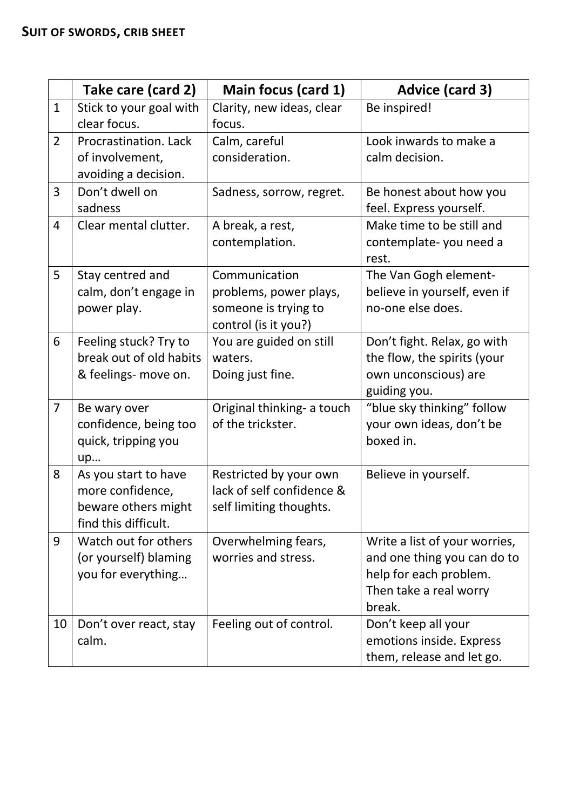|                | Take care (card 2)                                                                      | Main focus (card 1)                                                                     | <b>Advice (card 3)</b>                                                                                                     |
|----------------|-----------------------------------------------------------------------------------------|-----------------------------------------------------------------------------------------|----------------------------------------------------------------------------------------------------------------------------|
| $\mathbf{1}$   | Stick to your goal with<br>clear focus.                                                 | Clarity, new ideas, clear<br>focus.                                                     | Be inspired!                                                                                                               |
| $\overline{2}$ | Procrastination. Lack<br>of involvement,<br>avoiding a decision.                        | Calm, careful<br>consideration.                                                         | Look inwards to make a<br>calm decision.                                                                                   |
| 3              | Don't dwell on<br>sadness                                                               | Sadness, sorrow, regret.                                                                | Be honest about how you<br>feel. Express yourself.                                                                         |
| 4              | Clear mental clutter.                                                                   | A break, a rest,<br>contemplation.                                                      | Make time to be still and<br>contemplate-you need a<br>rest.                                                               |
| 5              | Stay centred and<br>calm, don't engage in<br>power play.                                | Communication<br>problems, power plays,<br>someone is trying to<br>control (is it you?) | The Van Gogh element-<br>believe in yourself, even if<br>no-one else does.                                                 |
| 6              | Feeling stuck? Try to<br>break out of old habits<br>& feelings- move on.                | You are guided on still<br>waters.<br>Doing just fine.                                  | Don't fight. Relax, go with<br>the flow, the spirits (your<br>own unconscious) are<br>guiding you.                         |
| $\overline{7}$ | Be wary over<br>confidence, being too<br>quick, tripping you<br>up                      | Original thinking- a touch<br>of the trickster.                                         | "blue sky thinking" follow<br>your own ideas, don't be<br>boxed in.                                                        |
| 8              | As you start to have<br>more confidence,<br>beware others might<br>find this difficult. | Restricted by your own<br>lack of self confidence &<br>self limiting thoughts.          | Believe in yourself.                                                                                                       |
| 9              | Watch out for others<br>(or yourself) blaming<br>you for everything                     | Overwhelming fears,<br>worries and stress.                                              | Write a list of your worries,<br>and one thing you can do to<br>help for each problem.<br>Then take a real worry<br>break. |
| 10             | Don't over react, stay<br>calm.                                                         | Feeling out of control.                                                                 | Don't keep all your<br>emotions inside. Express<br>them, release and let go.                                               |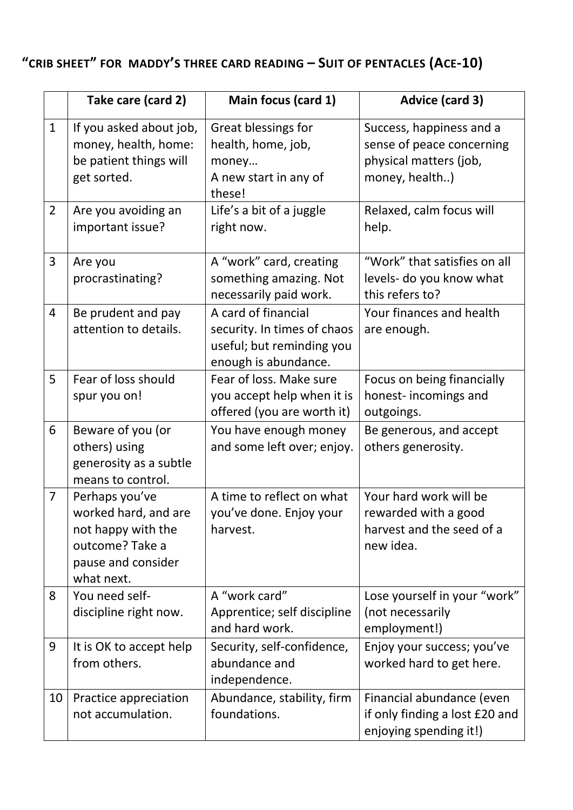## **"CRIB SHEET" FOR MADDY'S THREE CARD READING – SUIT OF PENTACLES (ACE-10)**

|                | Take care (card 2)                                                                                                  | Main focus (card 1)                                                                                     | <b>Advice (card 3)</b>                                                                            |
|----------------|---------------------------------------------------------------------------------------------------------------------|---------------------------------------------------------------------------------------------------------|---------------------------------------------------------------------------------------------------|
| $\mathbf{1}$   | If you asked about job,<br>money, health, home:<br>be patient things will<br>get sorted.                            | Great blessings for<br>health, home, job,<br>money<br>A new start in any of<br>these!                   | Success, happiness and a<br>sense of peace concerning<br>physical matters (job,<br>money, health) |
| $\overline{2}$ | Are you avoiding an<br>important issue?                                                                             | Life's a bit of a juggle<br>right now.                                                                  | Relaxed, calm focus will<br>help.                                                                 |
| 3              | Are you<br>procrastinating?                                                                                         | A "work" card, creating<br>something amazing. Not<br>necessarily paid work.                             | "Work" that satisfies on all<br>levels- do you know what<br>this refers to?                       |
| $\overline{4}$ | Be prudent and pay<br>attention to details.                                                                         | A card of financial<br>security. In times of chaos<br>useful; but reminding you<br>enough is abundance. | Your finances and health<br>are enough.                                                           |
| 5              | Fear of loss should<br>spur you on!                                                                                 | Fear of loss. Make sure<br>you accept help when it is<br>offered (you are worth it)                     | Focus on being financially<br>honest-incomings and<br>outgoings.                                  |
| 6              | Beware of you (or<br>others) using<br>generosity as a subtle<br>means to control.                                   | You have enough money<br>and some left over; enjoy.                                                     | Be generous, and accept<br>others generosity.                                                     |
| $\overline{7}$ | Perhaps you've<br>worked hard, and are<br>not happy with the<br>outcome? Take a<br>pause and consider<br>what next. | A time to reflect on what<br>you've done. Enjoy your<br>harvest.                                        | Your hard work will be<br>rewarded with a good<br>harvest and the seed of a<br>new idea.          |
| 8              | You need self-<br>discipline right now.                                                                             | A "work card"<br>Apprentice; self discipline<br>and hard work.                                          | Lose yourself in your "work"<br>(not necessarily<br>employment!)                                  |
| 9              | It is OK to accept help<br>from others.                                                                             | Security, self-confidence,<br>abundance and<br>independence.                                            | Enjoy your success; you've<br>worked hard to get here.                                            |
| 10             | Practice appreciation<br>not accumulation.                                                                          | Abundance, stability, firm<br>foundations.                                                              | Financial abundance (even<br>if only finding a lost £20 and<br>enjoying spending it!)             |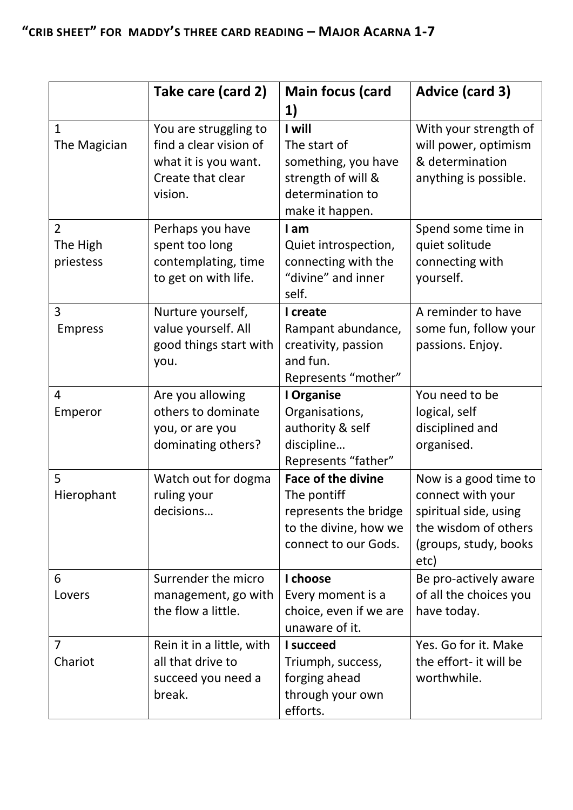|                                         | Take care (card 2)                                                                                      | <b>Main focus (card</b><br>1)                                                                                      | <b>Advice (card 3)</b>                                                                                                       |
|-----------------------------------------|---------------------------------------------------------------------------------------------------------|--------------------------------------------------------------------------------------------------------------------|------------------------------------------------------------------------------------------------------------------------------|
| $\mathbf{1}$<br>The Magician            | You are struggling to<br>find a clear vision of<br>what it is you want.<br>Create that clear<br>vision. | I will<br>The start of<br>something, you have<br>strength of will &<br>determination to<br>make it happen.         | With your strength of<br>will power, optimism<br>& determination<br>anything is possible.                                    |
| $\overline{2}$<br>The High<br>priestess | Perhaps you have<br>spent too long<br>contemplating, time<br>to get on with life.                       | I am<br>Quiet introspection,<br>connecting with the<br>"divine" and inner<br>self.                                 | Spend some time in<br>quiet solitude<br>connecting with<br>yourself.                                                         |
| 3<br><b>Empress</b>                     | Nurture yourself,<br>value yourself. All<br>good things start with<br>you.                              | I create<br>Rampant abundance,<br>creativity, passion<br>and fun.<br>Represents "mother"                           | A reminder to have<br>some fun, follow your<br>passions. Enjoy.                                                              |
| 4<br>Emperor                            | Are you allowing<br>others to dominate<br>you, or are you<br>dominating others?                         | I Organise<br>Organisations,<br>authority & self<br>discipline<br>Represents "father"                              | You need to be<br>logical, self<br>disciplined and<br>organised.                                                             |
| 5<br>Hierophant                         | Watch out for dogma<br>ruling your<br>decisions                                                         | <b>Face of the divine</b><br>The pontiff<br>represents the bridge<br>to the divine, how we<br>connect to our Gods. | Now is a good time to<br>connect with your<br>spiritual side, using<br>the wisdom of others<br>(groups, study, books<br>etc) |
| 6<br>Lovers                             | Surrender the micro<br>management, go with<br>the flow a little.                                        | I choose<br>Every moment is a<br>choice, even if we are<br>unaware of it.                                          | Be pro-actively aware<br>of all the choices you<br>have today.                                                               |
| $\overline{7}$<br>Chariot               | Rein it in a little, with<br>all that drive to<br>succeed you need a<br>break.                          | I succeed<br>Triumph, success,<br>forging ahead<br>through your own<br>efforts.                                    | Yes. Go for it. Make<br>the effort- it will be<br>worthwhile.                                                                |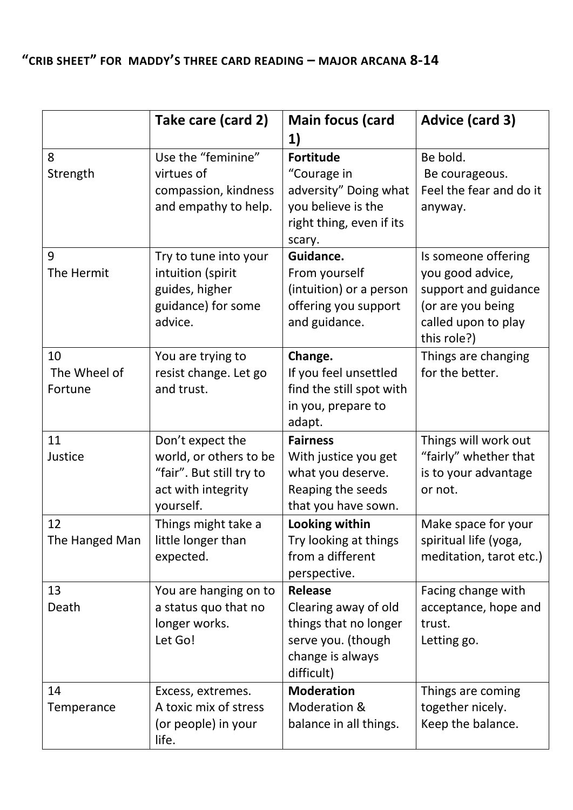## **"CRIB SHEET" FOR MADDY'S THREE CARD READING – MAJOR ARCANA 8-14**

|                | Take care (card 2)                         | <b>Main focus (card</b>                 | <b>Advice (card 3)</b>                  |
|----------------|--------------------------------------------|-----------------------------------------|-----------------------------------------|
|                |                                            | 1)                                      |                                         |
| 8              | Use the "feminine"                         | <b>Fortitude</b>                        | Be bold.                                |
| Strength       | virtues of                                 | "Courage in                             | Be courageous.                          |
|                | compassion, kindness                       | adversity" Doing what                   | Feel the fear and do it                 |
|                | and empathy to help.                       | you believe is the                      | anyway.                                 |
|                |                                            | right thing, even if its                |                                         |
| 9              |                                            | scary.<br>Guidance.                     |                                         |
| The Hermit     | Try to tune into your<br>intuition (spirit | From yourself                           | Is someone offering<br>you good advice, |
|                | guides, higher                             | (intuition) or a person                 | support and guidance                    |
|                | guidance) for some                         | offering you support                    | (or are you being                       |
|                | advice.                                    | and guidance.                           | called upon to play                     |
|                |                                            |                                         | this role?)                             |
| 10             | You are trying to                          | Change.                                 | Things are changing                     |
| The Wheel of   | resist change. Let go                      | If you feel unsettled                   | for the better.                         |
| Fortune        | and trust.                                 | find the still spot with                |                                         |
|                |                                            | in you, prepare to                      |                                         |
|                |                                            | adapt.                                  |                                         |
| 11             | Don't expect the                           | <b>Fairness</b>                         | Things will work out                    |
| Justice        | world, or others to be                     | With justice you get                    | "fairly" whether that                   |
|                | "fair". But still try to                   | what you deserve.                       | is to your advantage                    |
|                | act with integrity                         | Reaping the seeds                       | or not.                                 |
| 12             | yourself.                                  | that you have sown.                     | Make space for your                     |
| The Hanged Man | Things might take a<br>little longer than  | Looking within<br>Try looking at things | spiritual life (yoga,                   |
|                | expected.                                  | from a different                        | meditation, tarot etc.)                 |
|                |                                            | perspective.                            |                                         |
| 13             | You are hanging on to                      | <b>Release</b>                          | Facing change with                      |
| Death          | a status quo that no                       | Clearing away of old                    | acceptance, hope and                    |
|                | longer works.                              | things that no longer                   | trust.                                  |
|                | Let Go!                                    | serve you. (though                      | Letting go.                             |
|                |                                            | change is always                        |                                         |
|                |                                            | difficult)                              |                                         |
| 14             | Excess, extremes.                          | <b>Moderation</b>                       | Things are coming                       |
| Temperance     | A toxic mix of stress                      | Moderation &                            | together nicely.                        |
|                | (or people) in your                        | balance in all things.                  | Keep the balance.                       |
|                | life.                                      |                                         |                                         |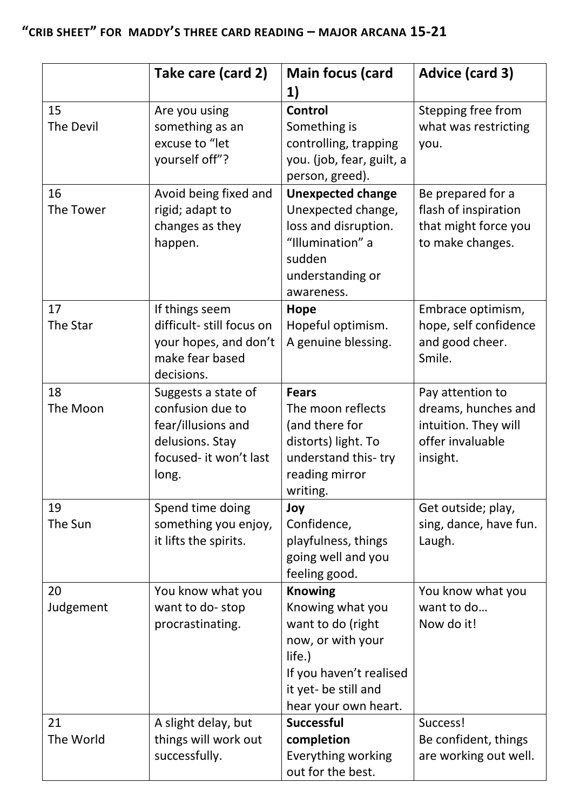|                 | Take care (card 2)                                                                                                  | <b>Main focus (card</b><br>1)                                                                                                                                     | <b>Advice (card 3)</b>                                                                          |
|-----------------|---------------------------------------------------------------------------------------------------------------------|-------------------------------------------------------------------------------------------------------------------------------------------------------------------|-------------------------------------------------------------------------------------------------|
| 15<br>The Devil | Are you using<br>something as an<br>excuse to "let<br>yourself off"?                                                | Control<br>Something is<br>controlling, trapping<br>you. (job, fear, guilt, a<br>person, greed).                                                                  | Stepping free from<br>what was restricting<br>you.                                              |
| 16<br>The Tower | Avoid being fixed and<br>rigid; adapt to<br>changes as they<br>happen.                                              | <b>Unexpected change</b><br>Unexpected change,<br>loss and disruption.<br>"Illumination" a<br>sudden<br>understanding or<br>awareness.                            | Be prepared for a<br>flash of inspiration<br>that might force you<br>to make changes.           |
| 17<br>The Star  | If things seem<br>difficult- still focus on<br>your hopes, and don't<br>make fear based<br>decisions.               | Hope<br>Hopeful optimism.<br>A genuine blessing.                                                                                                                  | Embrace optimism,<br>hope, self confidence<br>and good cheer.<br>Smile.                         |
| 18<br>The Moon  | Suggests a state of<br>confusion due to<br>fear/illusions and<br>delusions. Stay<br>focused- it won't last<br>long. | <b>Fears</b><br>The moon reflects<br>(and there for<br>distorts) light. To<br>understand this-try<br>reading mirror<br>writing.                                   | Pay attention to<br>dreams, hunches and<br>intuition. They will<br>offer invaluable<br>insight. |
| 19<br>The Sun   | Spend time doing<br>something you enjoy,<br>it lifts the spirits.                                                   | Joy<br>Confidence,<br>playfulness, things<br>going well and you<br>feeling good.                                                                                  | Get outside; play,<br>sing, dance, have fun.<br>Laugh.                                          |
| 20<br>Judgement | You know what you<br>want to do-stop<br>procrastinating.                                                            | <b>Knowing</b><br>Knowing what you<br>want to do (right<br>now, or with your<br>life.)<br>If you haven't realised<br>it yet- be still and<br>hear your own heart. | You know what you<br>want to do<br>Now do it!                                                   |
| 21<br>The World | A slight delay, but<br>things will work out<br>successfully.                                                        | <b>Successful</b><br>completion<br>Everything working<br>out for the best.                                                                                        | Success!<br>Be confident, things<br>are working out well.                                       |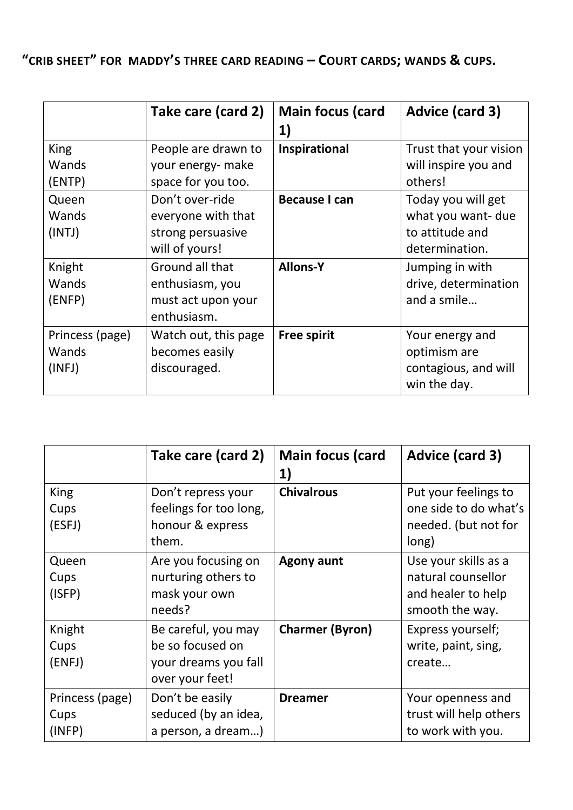**"CRIB SHEET" FOR MADDY'S THREE CARD READING – COURT CARDS; WANDS & CUPS.**

|                                    | Take care (card 2)                                                           | <b>Main focus (card</b><br>1) | <b>Advice (card 3)</b>                                                        |
|------------------------------------|------------------------------------------------------------------------------|-------------------------------|-------------------------------------------------------------------------------|
| King<br>Wands<br>(ENTP)            | People are drawn to<br>your energy- make<br>space for you too.               | Inspirational                 | Trust that your vision<br>will inspire you and<br>others!                     |
| Queen<br>Wands<br>(INTJ)           | Don't over-ride<br>everyone with that<br>strong persuasive<br>will of yours! | <b>Because I can</b>          | Today you will get<br>what you want- due<br>to attitude and<br>determination. |
| Knight<br>Wands<br>(ENFP)          | Ground all that<br>enthusiasm, you<br>must act upon your<br>enthusiasm.      | <b>Allons-Y</b>               | Jumping in with<br>drive, determination<br>and a smile                        |
| Princess (page)<br>Wands<br>(INFJ) | Watch out, this page<br>becomes easily<br>discouraged.                       | <b>Free spirit</b>            | Your energy and<br>optimism are<br>contagious, and will<br>win the day.       |

|                                   | Take care (card 2)                                                                 | <b>Main focus (card</b><br>1) | Advice (card 3)                                                                     |
|-----------------------------------|------------------------------------------------------------------------------------|-------------------------------|-------------------------------------------------------------------------------------|
| <b>King</b><br>Cups<br>(ESFJ)     | Don't repress your<br>feelings for too long,<br>honour & express<br>them.          | <b>Chivalrous</b>             | Put your feelings to<br>one side to do what's<br>needed. (but not for<br>long)      |
| Queen<br>Cups<br>(ISFP)           | Are you focusing on<br>nurturing others to<br>mask your own<br>needs?              | <b>Agony aunt</b>             | Use your skills as a<br>natural counsellor<br>and healer to help<br>smooth the way. |
| Knight<br>Cups<br>(ENFJ)          | Be careful, you may<br>be so focused on<br>your dreams you fall<br>over your feet! | <b>Charmer (Byron)</b>        | Express yourself;<br>write, paint, sing,<br>create                                  |
| Princess (page)<br>Cups<br>(INFP) | Don't be easily<br>seduced (by an idea,<br>a person, a dream)                      | <b>Dreamer</b>                | Your openness and<br>trust will help others<br>to work with you.                    |